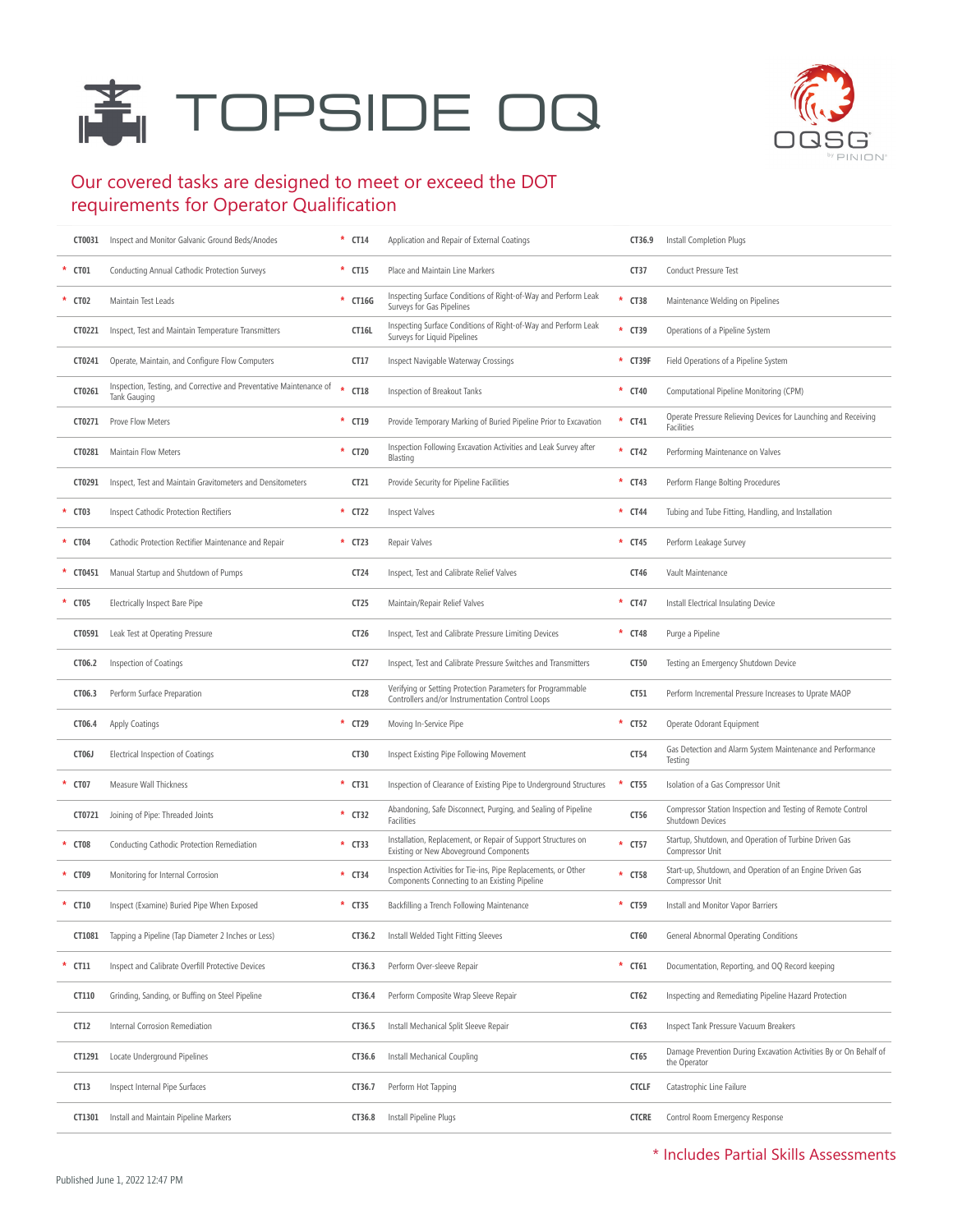# **TOPSIDE OQ**



#### Our covered tasks are designed to meet or exceed the DOT requirements for Operator Qualification

| CT0031   | Inspect and Monitor Galvanic Ground Beds/Anodes                                     | $\star$ CT14     | Application and Repair of External Coatings                                                                     | CT36.9           | Install Completion Plugs                                                          |
|----------|-------------------------------------------------------------------------------------|------------------|-----------------------------------------------------------------------------------------------------------------|------------------|-----------------------------------------------------------------------------------|
| CT01     | Conducting Annual Cathodic Protection Surveys                                       | $*$ CT15         | Place and Maintain Line Markers                                                                                 | <b>CT37</b>      | Conduct Pressure Test                                                             |
| * CT02   | Maintain Test Leads                                                                 | * CT16G          | Inspecting Surface Conditions of Right-of-Way and Perform Leak<br>Surveys for Gas Pipelines                     | $*$ CT38         | Maintenance Welding on Pipelines                                                  |
| CT0221   | Inspect, Test and Maintain Temperature Transmitters                                 | CT16L            | Inspecting Surface Conditions of Right-of-Way and Perform Leak<br>Surveys for Liquid Pipelines                  | * CT39           | Operations of a Pipeline System                                                   |
| CT0241   | Operate, Maintain, and Configure Flow Computers                                     | CT17             | Inspect Navigable Waterway Crossings                                                                            | * CT39F          | Field Operations of a Pipeline System                                             |
| CT0261   | Inspection, Testing, and Corrective and Preventative Maintenance of<br>Tank Gauging | CT18             | Inspection of Breakout Tanks                                                                                    | $*$ CT40         | Computational Pipeline Monitoring (CPM)                                           |
| CT0271   | Prove Flow Meters                                                                   | $*$ CT19         | Provide Temporary Marking of Buried Pipeline Prior to Excavation                                                | $*$ CT41         | Operate Pressure Relieving Devices for Launching and Receiving<br>Facilities      |
| CT0281   | Maintain Flow Meters                                                                | * CT20           | Inspection Following Excavation Activities and Leak Survey after<br>Blasting                                    | $*$ CT42         | Performing Maintenance on Valves                                                  |
| CT0291   | Inspect, Test and Maintain Gravitometers and Densitometers                          | CT21             | Provide Security for Pipeline Facilities                                                                        | $*$ CT43         | Perform Flange Bolting Procedures                                                 |
| $*$ CT03 | Inspect Cathodic Protection Rectifiers                                              | * CT22           | Inspect Valves                                                                                                  | $*$ CT44         | Tubing and Tube Fitting, Handling, and Installation                               |
| $*$ CT04 | Cathodic Protection Rectifier Maintenance and Repair                                | $\star$ CT23     | Repair Valves                                                                                                   | $*$ CT45         | Perform Leakage Survey                                                            |
| * CT0451 | Manual Startup and Shutdown of Pumps                                                | CT24             | Inspect, Test and Calibrate Relief Valves                                                                       | CT46             | Vault Maintenance                                                                 |
| * CT05   | Electrically Inspect Bare Pipe                                                      | CT <sub>25</sub> | Maintain/Repair Relief Valves                                                                                   | $*$ CT47         | Install Electrical Insulating Device                                              |
| CT0591   | Leak Test at Operating Pressure                                                     | CT26             | Inspect, Test and Calibrate Pressure Limiting Devices                                                           | * CT48           | Purge a Pipeline                                                                  |
| CT06.2   | Inspection of Coatings                                                              | CT27             | Inspect, Test and Calibrate Pressure Switches and Transmitters                                                  | CT50             | Testing an Emergency Shutdown Device                                              |
| CT06.3   | Perform Surface Preparation                                                         | <b>CT28</b>      | Verifying or Setting Protection Parameters for Programmable<br>Controllers and/or Instrumentation Control Loops | CT51             | Perform Incremental Pressure Increases to Uprate MAOP                             |
| CT06.4   | Apply Coatings                                                                      | * CT29           | Moving In-Service Pipe                                                                                          | $*$ CT52         | Operate Odorant Equipment                                                         |
| CT06J    | Electrical Inspection of Coatings                                                   | CT30             | Inspect Existing Pipe Following Movement                                                                        | CT54             | Gas Detection and Alarm System Maintenance and Performance<br>Testing             |
| CT07     | Measure Wall Thickness                                                              | $*$ CT31         | Inspection of Clearance of Existing Pipe to Underground Structures                                              | <b>CT55</b><br>× | Isolation of a Gas Compressor Unit                                                |
| CT0721   | Joining of Pipe: Threaded Joints                                                    | * CT32           | Abandoning, Safe Disconnect, Purging, and Sealing of Pipeline<br>Facilities                                     | CT56             | Compressor Station Inspection and Testing of Remote Control<br>Shutdown Devices   |
| * CT08   | Conducting Cathodic Protection Remediation                                          | * CT33           | Installation, Replacement, or Repair of Support Structures on<br>Existing or New Aboveground Components         | * CT57           | Startup, Shutdown, and Operation of Turbine Driven Gas<br>Compressor Unit         |
| * CT09   | Monitoring for Internal Corrosion                                                   | * CT34           | Inspection Activities for Tie-ins, Pipe Replacements, or Other<br>Components Connecting to an Existing Pipeline | * CT58           | Start-up, Shutdown, and Operation of an Engine Driven Gas<br>Compressor Unit      |
| $*$ CT10 | Inspect (Examine) Buried Pipe When Exposed                                          | $*$ CT35         | Backfilling a Trench Following Maintenance                                                                      | * CT59           | Install and Monitor Vapor Barriers                                                |
| CT1081   | Tapping a Pipeline (Tap Diameter 2 Inches or Less)                                  | CT36.2           | Install Welded Tight Fitting Sleeves                                                                            | CT60             | General Abnormal Operating Conditions                                             |
| * CT11   | Inspect and Calibrate Overfill Protective Devices                                   | CT36.3           | Perform Over-sleeve Repair                                                                                      | $*$ CT61         | Documentation, Reporting, and OQ Record keeping                                   |
| CT110    | Grinding, Sanding, or Buffing on Steel Pipeline                                     | CT36.4           | Perform Composite Wrap Sleeve Repair                                                                            | CT62             | Inspecting and Remediating Pipeline Hazard Protection                             |
| CT12     | Internal Corrosion Remediation                                                      | CT36.5           | Install Mechanical Split Sleeve Repair                                                                          | CT63             | Inspect Tank Pressure Vacuum Breakers                                             |
| CT1291   | Locate Underground Pipelines                                                        | CT36.6           | Install Mechanical Coupling                                                                                     | CT65             | Damage Prevention During Excavation Activities By or On Behalf of<br>the Operator |
| CT13     | Inspect Internal Pipe Surfaces                                                      | CT36.7           | Perform Hot Tapping                                                                                             | <b>CTCLF</b>     | Catastrophic Line Failure                                                         |
| CT1301   | Install and Maintain Pipeline Markers                                               | CT36.8           | Install Pipeline Plugs                                                                                          | <b>CTCRE</b>     | Control Room Emergency Response                                                   |
|          |                                                                                     |                  |                                                                                                                 |                  |                                                                                   |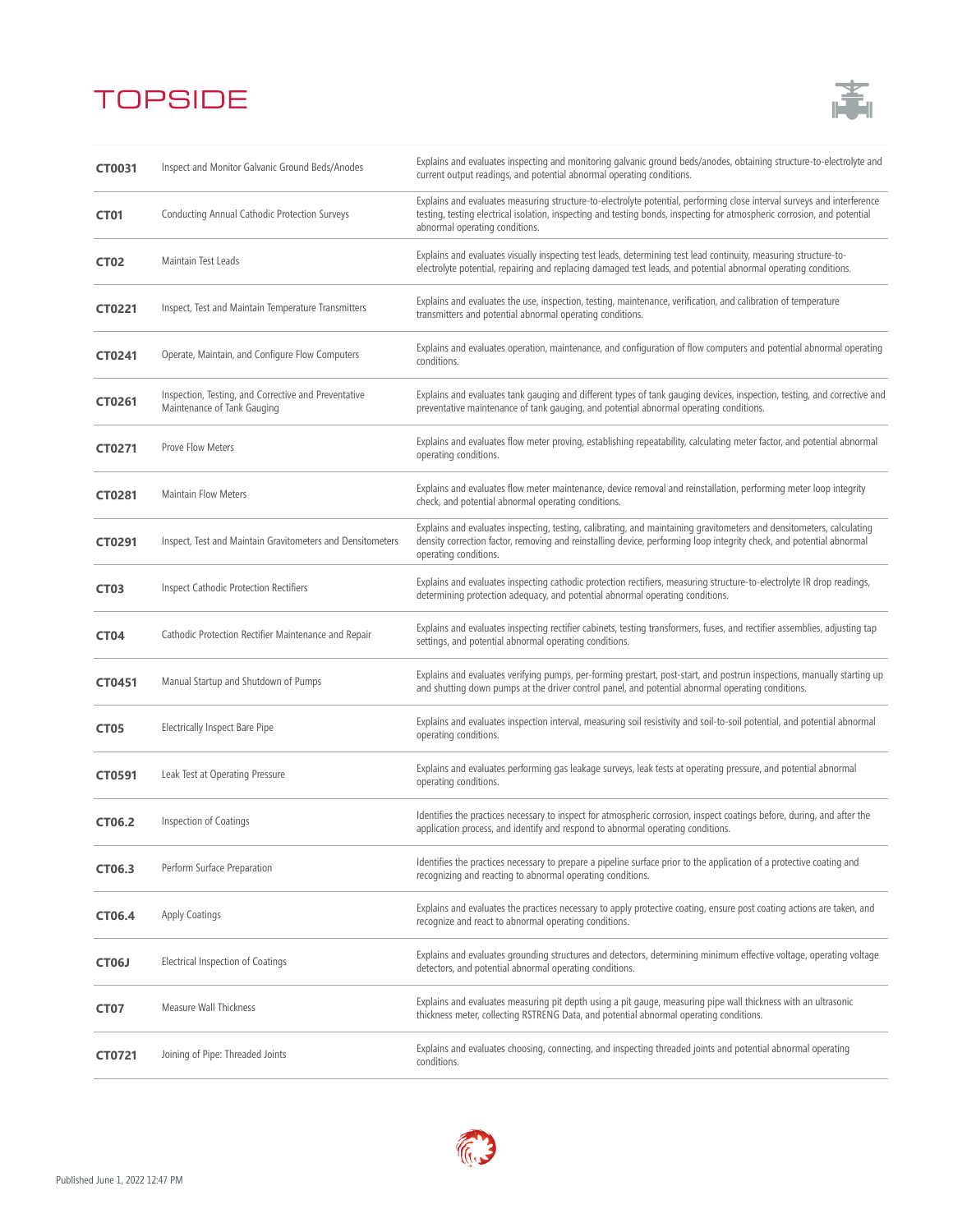

| CT0031           | Inspect and Monitor Galvanic Ground Beds/Anodes                                     | Explains and evaluates inspecting and monitoring galvanic ground beds/anodes, obtaining structure-to-electrolyte and<br>current output readings, and potential abnormal operating conditions.                                                                                         |
|------------------|-------------------------------------------------------------------------------------|---------------------------------------------------------------------------------------------------------------------------------------------------------------------------------------------------------------------------------------------------------------------------------------|
| <b>CT01</b>      | Conducting Annual Cathodic Protection Surveys                                       | Explains and evaluates measuring structure-to-electrolyte potential, performing close interval surveys and interference<br>testing, testing electrical isolation, inspecting and testing bonds, inspecting for atmospheric corrosion, and potential<br>abnormal operating conditions. |
| <b>CT02</b>      | Maintain Test Leads                                                                 | Explains and evaluates visually inspecting test leads, determining test lead continuity, measuring structure-to-<br>electrolyte potential, repairing and replacing damaged test leads, and potential abnormal operating conditions.                                                   |
| CT0221           | Inspect, Test and Maintain Temperature Transmitters                                 | Explains and evaluates the use, inspection, testing, maintenance, verification, and calibration of temperature<br>transmitters and potential abnormal operating conditions.                                                                                                           |
| CT0241           | Operate, Maintain, and Configure Flow Computers                                     | Explains and evaluates operation, maintenance, and configuration of flow computers and potential abnormal operating<br>conditions.                                                                                                                                                    |
| CT0261           | Inspection, Testing, and Corrective and Preventative<br>Maintenance of Tank Gauging | Explains and evaluates tank gauging and different types of tank gauging devices, inspection, testing, and corrective and<br>preventative maintenance of tank gauging, and potential abnormal operating conditions.                                                                    |
| CT0271           | <b>Prove Flow Meters</b>                                                            | Explains and evaluates flow meter proving, establishing repeatability, calculating meter factor, and potential abnormal<br>operating conditions.                                                                                                                                      |
| CT0281           | <b>Maintain Flow Meters</b>                                                         | Explains and evaluates flow meter maintenance, device removal and reinstallation, performing meter loop integrity<br>check, and potential abnormal operating conditions.                                                                                                              |
| CT0291           | Inspect, Test and Maintain Gravitometers and Densitometers                          | Explains and evaluates inspecting, testing, calibrating, and maintaining gravitometers and densitometers, calculating<br>density correction factor, removing and reinstalling device, performing loop integrity check, and potential abnormal<br>operating conditions.                |
| CT <sub>03</sub> | <b>Inspect Cathodic Protection Rectifiers</b>                                       | Explains and evaluates inspecting cathodic protection rectifiers, measuring structure-to-electrolyte IR drop readings,<br>determining protection adequacy, and potential abnormal operating conditions.                                                                               |
| CT <sub>04</sub> | Cathodic Protection Rectifier Maintenance and Repair                                | Explains and evaluates inspecting rectifier cabinets, testing transformers, fuses, and rectifier assemblies, adjusting tap<br>settings, and potential abnormal operating conditions.                                                                                                  |
| CT0451           | Manual Startup and Shutdown of Pumps                                                | Explains and evaluates verifying pumps, per-forming prestart, post-start, and postrun inspections, manually starting up<br>and shutting down pumps at the driver control panel, and potential abnormal operating conditions.                                                          |
| CT05             | Electrically Inspect Bare Pipe                                                      | Explains and evaluates inspection interval, measuring soil resistivity and soil-to-soil potential, and potential abnormal<br>operating conditions.                                                                                                                                    |
| CT0591           | Leak Test at Operating Pressure                                                     | Explains and evaluates performing gas leakage surveys, leak tests at operating pressure, and potential abnormal<br>operating conditions.                                                                                                                                              |
| CT06.2           | Inspection of Coatings                                                              | Identifies the practices necessary to inspect for atmospheric corrosion, inspect coatings before, during, and after the<br>application process, and identify and respond to abnormal operating conditions.                                                                            |
| CT06.3           | Perform Surface Preparation                                                         | Identifies the practices necessary to prepare a pipeline surface prior to the application of a protective coating and<br>recognizing and reacting to abnormal operating conditions.                                                                                                   |
| CT06.4           | <b>Apply Coatings</b>                                                               | Explains and evaluates the practices necessary to apply protective coating, ensure post coating actions are taken, and<br>recognize and react to abnormal operating conditions.                                                                                                       |
| CT06J            | Electrical Inspection of Coatings                                                   | Explains and evaluates grounding structures and detectors, determining minimum effective voltage, operating voltage<br>detectors, and potential abnormal operating conditions.                                                                                                        |
| CT07             | Measure Wall Thickness                                                              | Explains and evaluates measuring pit depth using a pit gauge, measuring pipe wall thickness with an ultrasonic<br>thickness meter, collecting RSTRENG Data, and potential abnormal operating conditions.                                                                              |
| CT0721           | Joining of Pipe: Threaded Joints                                                    | Explains and evaluates choosing, connecting, and inspecting threaded joints and potential abnormal operating<br>conditions.                                                                                                                                                           |

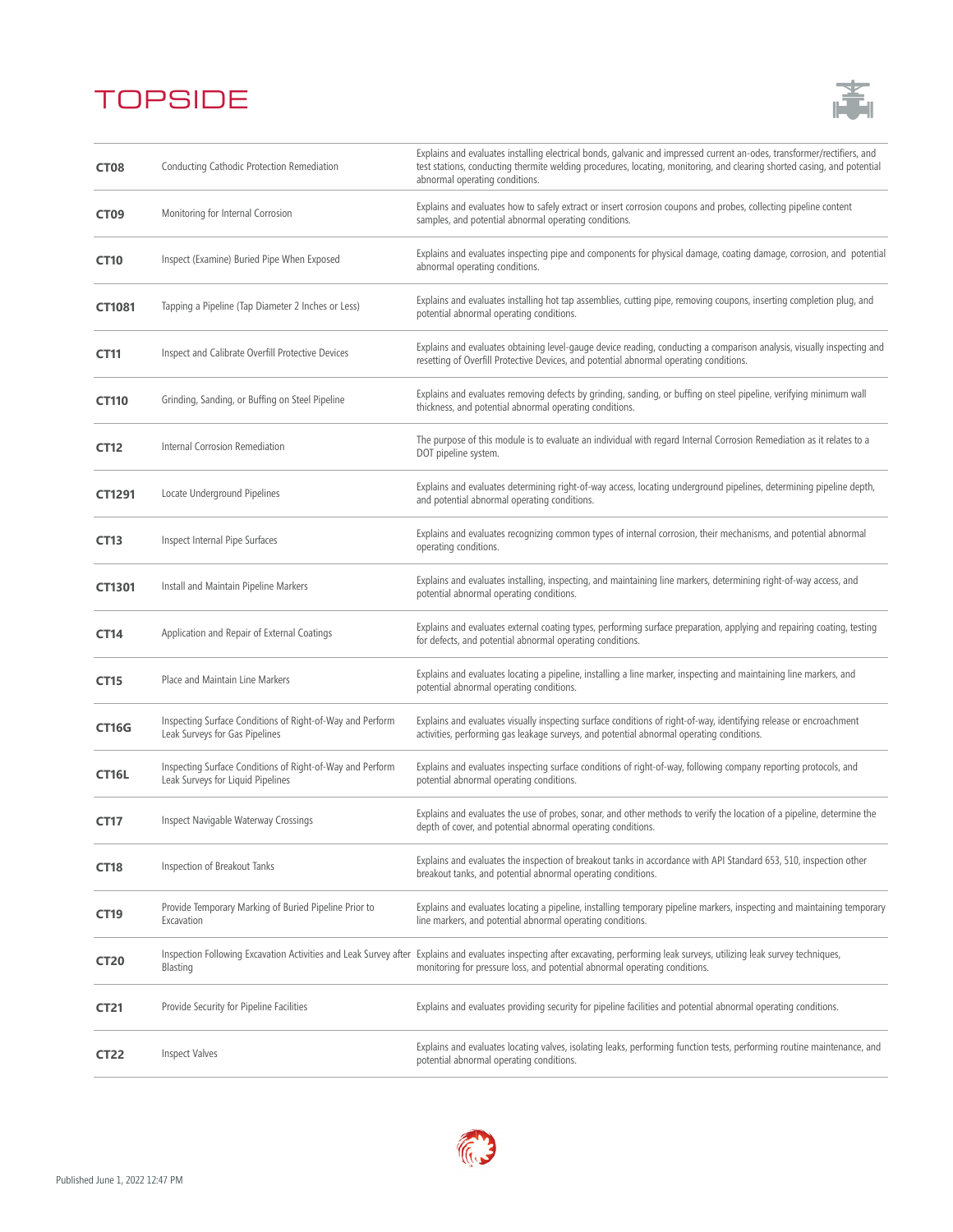

| CT <sub>08</sub> | Conducting Cathodic Protection Remediation                                                     | Explains and evaluates installing electrical bonds, galvanic and impressed current an-odes, transformer/rectifiers, and<br>test stations, conducting thermite welding procedures, locating, monitoring, and clearing shorted casing, and potential<br>abnormal operating conditions. |
|------------------|------------------------------------------------------------------------------------------------|--------------------------------------------------------------------------------------------------------------------------------------------------------------------------------------------------------------------------------------------------------------------------------------|
| CT <sub>09</sub> | Monitoring for Internal Corrosion                                                              | Explains and evaluates how to safely extract or insert corrosion coupons and probes, collecting pipeline content<br>samples, and potential abnormal operating conditions.                                                                                                            |
| <b>CT10</b>      | Inspect (Examine) Buried Pipe When Exposed                                                     | Explains and evaluates inspecting pipe and components for physical damage, coating damage, corrosion, and potential<br>abnormal operating conditions.                                                                                                                                |
| CT1081           | Tapping a Pipeline (Tap Diameter 2 Inches or Less)                                             | Explains and evaluates installing hot tap assemblies, cutting pipe, removing coupons, inserting completion plug, and<br>potential abnormal operating conditions.                                                                                                                     |
| <b>CT11</b>      | Inspect and Calibrate Overfill Protective Devices                                              | Explains and evaluates obtaining level-gauge device reading, conducting a comparison analysis, visually inspecting and<br>resetting of Overfill Protective Devices, and potential abnormal operating conditions.                                                                     |
| <b>CT110</b>     | Grinding, Sanding, or Buffing on Steel Pipeline                                                | Explains and evaluates removing defects by grinding, sanding, or buffing on steel pipeline, verifying minimum wall<br>thickness, and potential abnormal operating conditions.                                                                                                        |
| <b>CT12</b>      | Internal Corrosion Remediation                                                                 | The purpose of this module is to evaluate an individual with regard Internal Corrosion Remediation as it relates to a<br>DOT pipeline system.                                                                                                                                        |
| CT1291           | Locate Underground Pipelines                                                                   | Explains and evaluates determining right-of-way access, locating underground pipelines, determining pipeline depth,<br>and potential abnormal operating conditions.                                                                                                                  |
| <b>CT13</b>      | Inspect Internal Pipe Surfaces                                                                 | Explains and evaluates recognizing common types of internal corrosion, their mechanisms, and potential abnormal<br>operating conditions.                                                                                                                                             |
| CT1301           | Install and Maintain Pipeline Markers                                                          | Explains and evaluates installing, inspecting, and maintaining line markers, determining right-of-way access, and<br>potential abnormal operating conditions.                                                                                                                        |
| <b>CT14</b>      | Application and Repair of External Coatings                                                    | Explains and evaluates external coating types, performing surface preparation, applying and repairing coating, testing<br>for defects, and potential abnormal operating conditions.                                                                                                  |
| <b>CT15</b>      | Place and Maintain Line Markers                                                                | Explains and evaluates locating a pipeline, installing a line marker, inspecting and maintaining line markers, and<br>potential abnormal operating conditions.                                                                                                                       |
| <b>CT16G</b>     | Inspecting Surface Conditions of Right-of-Way and Perform<br>Leak Surveys for Gas Pipelines    | Explains and evaluates visually inspecting surface conditions of right-of-way, identifying release or encroachment<br>activities, performing gas leakage surveys, and potential abnormal operating conditions.                                                                       |
| CT16L            | Inspecting Surface Conditions of Right-of-Way and Perform<br>Leak Surveys for Liquid Pipelines | Explains and evaluates inspecting surface conditions of right-of-way, following company reporting protocols, and<br>potential abnormal operating conditions.                                                                                                                         |
| <b>CT17</b>      | Inspect Navigable Waterway Crossings                                                           | Explains and evaluates the use of probes, sonar, and other methods to verify the location of a pipeline, determine the<br>depth of cover, and potential abnormal operating conditions.                                                                                               |
| <b>CT18</b>      | Inspection of Breakout Tanks                                                                   | Explains and evaluates the inspection of breakout tanks in accordance with API Standard 653, 510, inspection other<br>breakout tanks, and potential abnormal operating conditions.                                                                                                   |
| CT19             | Provide Temporary Marking of Buried Pipeline Prior to<br>Excavation                            | Explains and evaluates locating a pipeline, installing temporary pipeline markers, inspecting and maintaining temporary<br>line markers, and potential abnormal operating conditions.                                                                                                |
| <b>CT20</b>      | Inspection Following Excavation Activities and Leak Survey after<br>Blasting                   | Explains and evaluates inspecting after excavating, performing leak surveys, utilizing leak survey techniques,<br>monitoring for pressure loss, and potential abnormal operating conditions.                                                                                         |
| <b>CT21</b>      | Provide Security for Pipeline Facilities                                                       | Explains and evaluates providing security for pipeline facilities and potential abnormal operating conditions.                                                                                                                                                                       |
| <b>CT22</b>      | <b>Inspect Valves</b>                                                                          | Explains and evaluates locating valves, isolating leaks, performing function tests, performing routine maintenance, and<br>potential abnormal operating conditions.                                                                                                                  |

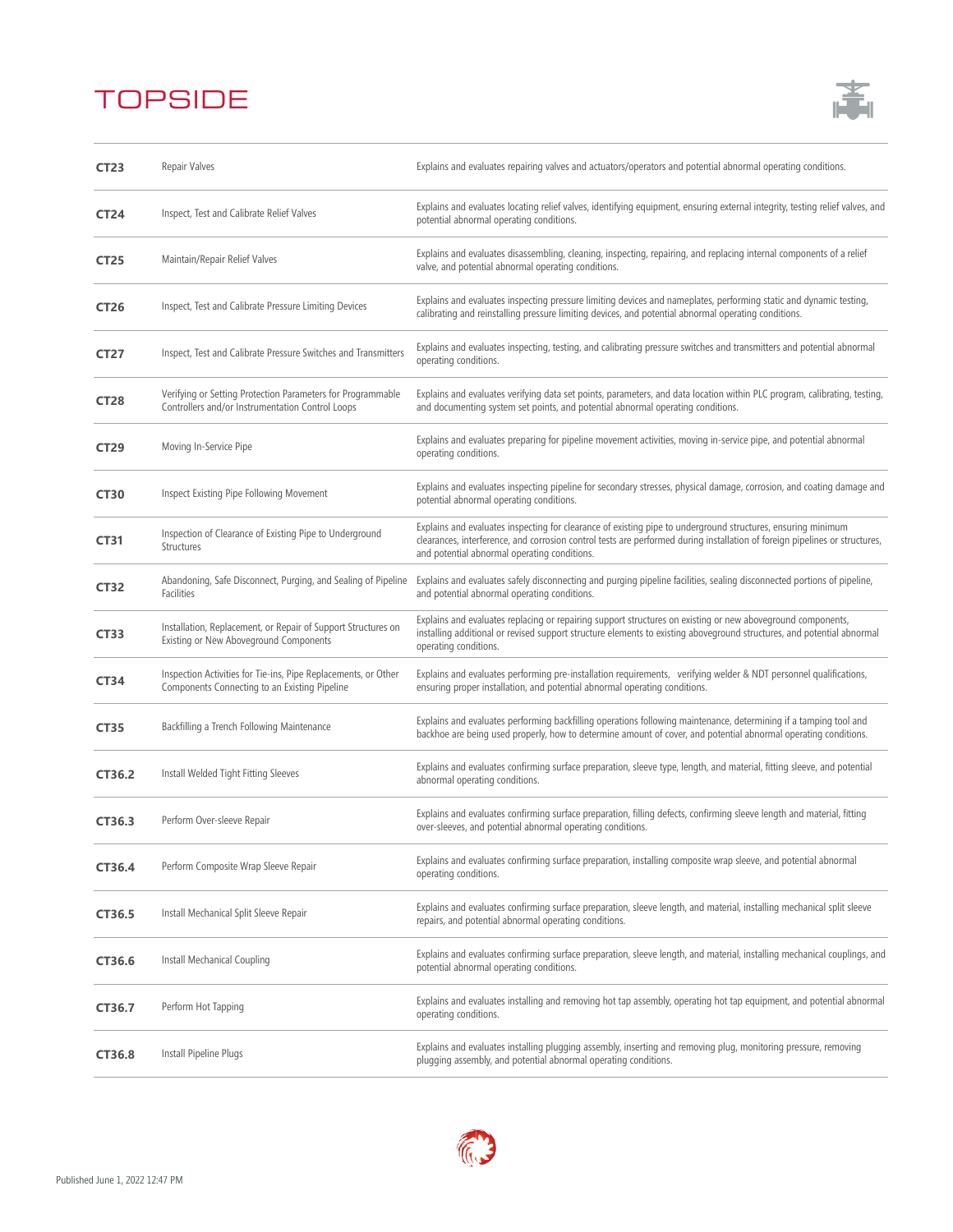

| <b>CT23</b> | Repair Valves                                                                                                   | Explains and evaluates repairing valves and actuators/operators and potential abnormal operating conditions.                                                                                                                                                                                |
|-------------|-----------------------------------------------------------------------------------------------------------------|---------------------------------------------------------------------------------------------------------------------------------------------------------------------------------------------------------------------------------------------------------------------------------------------|
| <b>CT24</b> | Inspect, Test and Calibrate Relief Valves                                                                       | Explains and evaluates locating relief valves, identifying equipment, ensuring external integrity, testing relief valves, and<br>potential abnormal operating conditions.                                                                                                                   |
| <b>CT25</b> | Maintain/Repair Relief Valves                                                                                   | Explains and evaluates disassembling, cleaning, inspecting, repairing, and replacing internal components of a relief<br>valve, and potential abnormal operating conditions.                                                                                                                 |
| <b>CT26</b> | Inspect, Test and Calibrate Pressure Limiting Devices                                                           | Explains and evaluates inspecting pressure limiting devices and nameplates, performing static and dynamic testing,<br>calibrating and reinstalling pressure limiting devices, and potential abnormal operating conditions.                                                                  |
| <b>CT27</b> | Inspect, Test and Calibrate Pressure Switches and Transmitters                                                  | Explains and evaluates inspecting, testing, and calibrating pressure switches and transmitters and potential abnormal<br>operating conditions.                                                                                                                                              |
| <b>CT28</b> | Verifying or Setting Protection Parameters for Programmable<br>Controllers and/or Instrumentation Control Loops | Explains and evaluates verifying data set points, parameters, and data location within PLC program, calibrating, testing,<br>and documenting system set points, and potential abnormal operating conditions.                                                                                |
| <b>CT29</b> | Moving In-Service Pipe                                                                                          | Explains and evaluates preparing for pipeline movement activities, moving in-service pipe, and potential abnormal<br>operating conditions.                                                                                                                                                  |
| <b>CT30</b> | Inspect Existing Pipe Following Movement                                                                        | Explains and evaluates inspecting pipeline for secondary stresses, physical damage, corrosion, and coating damage and<br>potential abnormal operating conditions.                                                                                                                           |
| <b>CT31</b> | Inspection of Clearance of Existing Pipe to Underground<br>Structures                                           | Explains and evaluates inspecting for clearance of existing pipe to underground structures, ensuring minimum<br>clearances, interference, and corrosion control tests are performed during installation of foreign pipelines or structures,<br>and potential abnormal operating conditions. |
| <b>CT32</b> | Abandoning, Safe Disconnect, Purging, and Sealing of Pipeline<br>Facilities                                     | Explains and evaluates safely disconnecting and purging pipeline facilities, sealing disconnected portions of pipeline,<br>and potential abnormal operating conditions.                                                                                                                     |
| <b>CT33</b> | Installation, Replacement, or Repair of Support Structures on<br>Existing or New Aboveground Components         | Explains and evaluates replacing or repairing support structures on existing or new aboveground components,<br>installing additional or revised support structure elements to existing aboveground structures, and potential abnormal<br>operating conditions.                              |
| <b>CT34</b> | Inspection Activities for Tie-ins, Pipe Replacements, or Other<br>Components Connecting to an Existing Pipeline | Explains and evaluates performing pre-installation requirements, verifying welder & NDT personnel qualifications,<br>ensuring proper installation, and potential abnormal operating conditions.                                                                                             |
| <b>CT35</b> | Backfilling a Trench Following Maintenance                                                                      | Explains and evaluates performing backfilling operations following maintenance, determining if a tamping tool and<br>backhoe are being used properly, how to determine amount of cover, and potential abnormal operating conditions.                                                        |
| CT36.2      | Install Welded Tight Fitting Sleeves                                                                            | Explains and evaluates confirming surface preparation, sleeve type, length, and material, fitting sleeve, and potential<br>abnormal operating conditions.                                                                                                                                   |
| CT36.3      | Perform Over-sleeve Repair                                                                                      | Explains and evaluates confirming surface preparation, filling defects, confirming sleeve length and material, fitting<br>over-sleeves, and potential abnormal operating conditions.                                                                                                        |
| CT36.4      | Perform Composite Wrap Sleeve Repair                                                                            | Explains and evaluates confirming surface preparation, installing composite wrap sleeve, and potential abnormal<br>operating conditions.                                                                                                                                                    |
| CT36.5      | Install Mechanical Split Sleeve Repair                                                                          | Explains and evaluates confirming surface preparation, sleeve length, and material, installing mechanical split sleeve<br>repairs, and potential abnormal operating conditions.                                                                                                             |
| CT36.6      | Install Mechanical Coupling                                                                                     | Explains and evaluates confirming surface preparation, sleeve length, and material, installing mechanical couplings, and<br>potential abnormal operating conditions.                                                                                                                        |
| CT36.7      | Perform Hot Tapping                                                                                             | Explains and evaluates installing and removing hot tap assembly, operating hot tap equipment, and potential abnormal<br>operating conditions.                                                                                                                                               |
| CT36.8      | Install Pipeline Plugs                                                                                          | Explains and evaluates installing plugging assembly, inserting and removing plug, monitoring pressure, removing<br>plugging assembly, and potential abnormal operating conditions.                                                                                                          |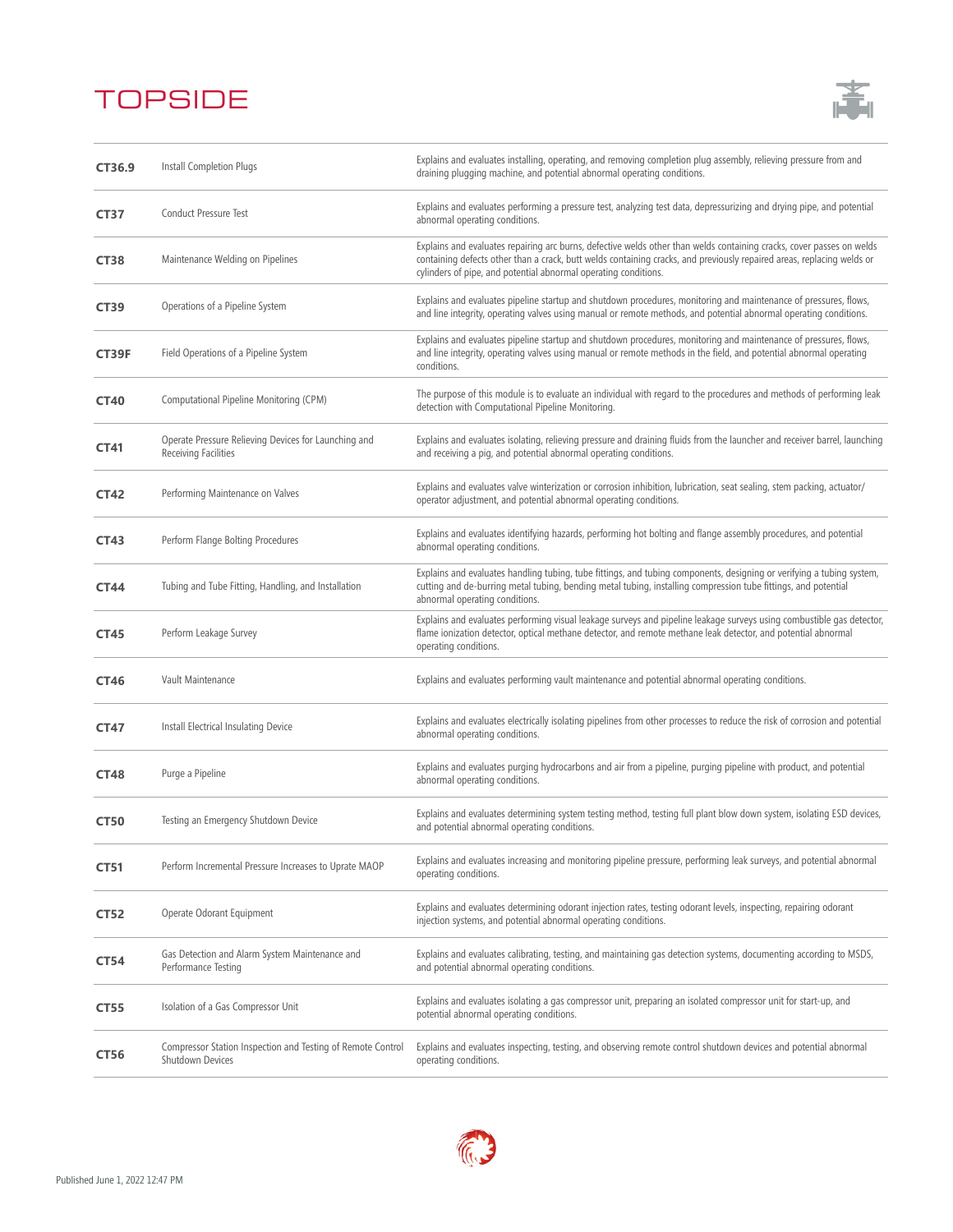

| CT36.9      | Install Completion Plugs                                                        | Explains and evaluates installing, operating, and removing completion plug assembly, relieving pressure from and<br>draining plugging machine, and potential abnormal operating conditions.                                                                                                                        |
|-------------|---------------------------------------------------------------------------------|--------------------------------------------------------------------------------------------------------------------------------------------------------------------------------------------------------------------------------------------------------------------------------------------------------------------|
| <b>CT37</b> | <b>Conduct Pressure Test</b>                                                    | Explains and evaluates performing a pressure test, analyzing test data, depressurizing and drying pipe, and potential<br>abnormal operating conditions.                                                                                                                                                            |
| <b>CT38</b> | Maintenance Welding on Pipelines                                                | Explains and evaluates repairing arc burns, defective welds other than welds containing cracks, cover passes on welds<br>containing defects other than a crack, butt welds containing cracks, and previously repaired areas, replacing welds or<br>cylinders of pipe, and potential abnormal operating conditions. |
| <b>CT39</b> | Operations of a Pipeline System                                                 | Explains and evaluates pipeline startup and shutdown procedures, monitoring and maintenance of pressures, flows,<br>and line integrity, operating valves using manual or remote methods, and potential abnormal operating conditions.                                                                              |
| CT39F       | Field Operations of a Pipeline System                                           | Explains and evaluates pipeline startup and shutdown procedures, monitoring and maintenance of pressures, flows,<br>and line integrity, operating valves using manual or remote methods in the field, and potential abnormal operating<br>conditions.                                                              |
| <b>CT40</b> | Computational Pipeline Monitoring (CPM)                                         | The purpose of this module is to evaluate an individual with regard to the procedures and methods of performing leak<br>detection with Computational Pipeline Monitoring.                                                                                                                                          |
| CT41        | Operate Pressure Relieving Devices for Launching and<br>Receiving Facilities    | Explains and evaluates isolating, relieving pressure and draining fluids from the launcher and receiver barrel, launching<br>and receiving a pig, and potential abnormal operating conditions.                                                                                                                     |
| <b>CT42</b> | Performing Maintenance on Valves                                                | Explains and evaluates valve winterization or corrosion inhibition, lubrication, seat sealing, stem packing, actuator/<br>operator adjustment, and potential abnormal operating conditions.                                                                                                                        |
| <b>CT43</b> | Perform Flange Bolting Procedures                                               | Explains and evaluates identifying hazards, performing hot bolting and flange assembly procedures, and potential<br>abnormal operating conditions.                                                                                                                                                                 |
| <b>CT44</b> | Tubing and Tube Fitting, Handling, and Installation                             | Explains and evaluates handling tubing, tube fittings, and tubing components, designing or verifying a tubing system,<br>cutting and de-burring metal tubing, bending metal tubing, installing compression tube fittings, and potential<br>abnormal operating conditions.                                          |
| <b>CT45</b> | Perform Leakage Survey                                                          | Explains and evaluates performing visual leakage surveys and pipeline leakage surveys using combustible gas detector,<br>flame ionization detector, optical methane detector, and remote methane leak detector, and potential abnormal<br>operating conditions.                                                    |
| <b>CT46</b> | Vault Maintenance                                                               | Explains and evaluates performing vault maintenance and potential abnormal operating conditions.                                                                                                                                                                                                                   |
| <b>CT47</b> | Install Electrical Insulating Device                                            | Explains and evaluates electrically isolating pipelines from other processes to reduce the risk of corrosion and potential<br>abnormal operating conditions.                                                                                                                                                       |
| <b>CT48</b> | Purge a Pipeline                                                                | Explains and evaluates purging hydrocarbons and air from a pipeline, purging pipeline with product, and potential<br>abnormal operating conditions.                                                                                                                                                                |
| <b>CT50</b> | Testing an Emergency Shutdown Device                                            | Explains and evaluates determining system testing method, testing full plant blow down system, isolating ESD devices,<br>and potential abnormal operating conditions.                                                                                                                                              |
| <b>CT51</b> | Perform Incremental Pressure Increases to Uprate MAOP                           | Explains and evaluates increasing and monitoring pipeline pressure, performing leak surveys, and potential abnormal<br>operating conditions.                                                                                                                                                                       |
| <b>CT52</b> | Operate Odorant Equipment                                                       | Explains and evaluates determining odorant injection rates, testing odorant levels, inspecting, repairing odorant<br>injection systems, and potential abnormal operating conditions.                                                                                                                               |
| <b>CT54</b> | Gas Detection and Alarm System Maintenance and<br>Performance Testing           | Explains and evaluates calibrating, testing, and maintaining gas detection systems, documenting according to MSDS,<br>and potential abnormal operating conditions.                                                                                                                                                 |
| <b>CT55</b> | Isolation of a Gas Compressor Unit                                              | Explains and evaluates isolating a gas compressor unit, preparing an isolated compressor unit for start-up, and<br>potential abnormal operating conditions.                                                                                                                                                        |
| CT56        | Compressor Station Inspection and Testing of Remote Control<br>Shutdown Devices | Explains and evaluates inspecting, testing, and observing remote control shutdown devices and potential abnormal<br>operating conditions.                                                                                                                                                                          |